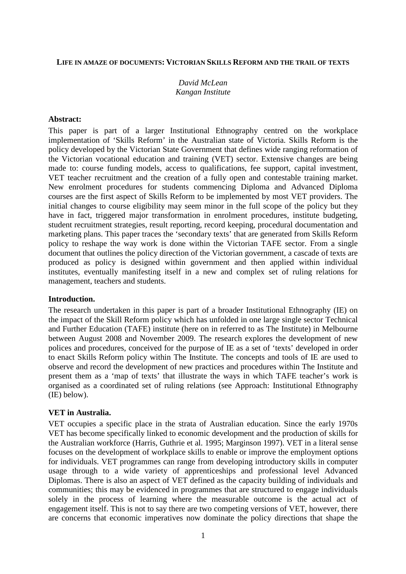#### **LIFE IN AMAZE OF DOCUMENTS: VICTORIAN SKILLS REFORM AND THE TRAIL OF TEXTS**

# *David McLean Kangan Institute*

### **Abstract:**

This paper is part of a larger Institutional Ethnography centred on the workplace implementation of 'Skills Reform' in the Australian state of Victoria. Skills Reform is the policy developed by the Victorian State Government that defines wide ranging reformation of the Victorian vocational education and training (VET) sector. Extensive changes are being made to: course funding models, access to qualifications, fee support, capital investment, VET teacher recruitment and the creation of a fully open and contestable training market. New enrolment procedures for students commencing Diploma and Advanced Diploma courses are the first aspect of Skills Reform to be implemented by most VET providers. The initial changes to course eligibility may seem minor in the full scope of the policy but they have in fact, triggered major transformation in enrolment procedures, institute budgeting, student recruitment strategies, result reporting, record keeping, procedural documentation and marketing plans. This paper traces the 'secondary texts' that are generated from Skills Reform policy to reshape the way work is done within the Victorian TAFE sector. From a single document that outlines the policy direction of the Victorian government, a cascade of texts are produced as policy is designed within government and then applied within individual institutes, eventually manifesting itself in a new and complex set of ruling relations for management, teachers and students.

#### **Introduction.**

The research undertaken in this paper is part of a broader Institutional Ethnography (IE) on the impact of the Skill Reform policy which has unfolded in one large single sector Technical and Further Education (TAFE) institute (here on in referred to as The Institute) in Melbourne between August 2008 and November 2009. The research explores the development of new polices and procedures, conceived for the purpose of IE as a set of 'texts' developed in order to enact Skills Reform policy within The Institute. The concepts and tools of IE are used to observe and record the development of new practices and procedures within The Institute and present them as a 'map of texts' that illustrate the ways in which TAFE teacher's work is organised as a coordinated set of ruling relations (see Approach: Institutional Ethnography (IE) below).

#### **VET in Australia.**

VET occupies a specific place in the strata of Australian education. Since the early 1970s VET has become specifically linked to economic development and the production of skills for the Australian workforce (Harris, Guthrie et al. 1995; Marginson 1997). VET in a literal sense focuses on the development of workplace skills to enable or improve the employment options for individuals. VET programmes can range from developing introductory skills in computer usage through to a wide variety of apprenticeships and professional level Advanced Diplomas. There is also an aspect of VET defined as the capacity building of individuals and communities; this may be evidenced in programmes that are structured to engage individuals solely in the process of learning where the measurable outcome is the actual act of engagement itself. This is not to say there are two competing versions of VET, however, there are concerns that economic imperatives now dominate the policy directions that shape the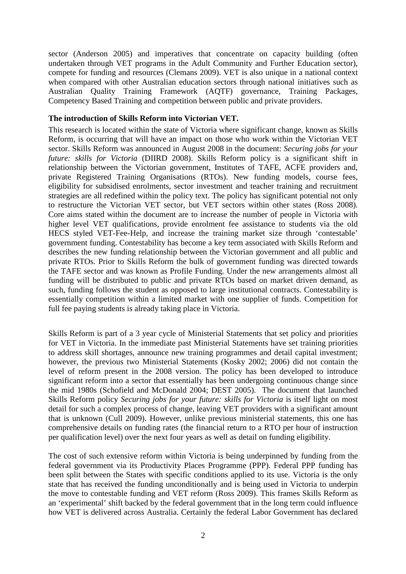sector (Anderson 2005) and imperatives that concentrate on capacity building (often undertaken through VET programs in the Adult Community and Further Education sector), compete for funding and resources (Clemans 2009). VET is also unique in a national context when compared with other Australian education sectors through national initiatives such as Australian Quality Training Framework (AQTF) governance, Training Packages, Competency Based Training and competition between public and private providers.

### **The introduction of Skills Reform into Victorian VET.**

This research is located within the state of Victoria where significant change, known as Skills Reform, is occurring that will have an impact on those who work within the Victorian VET sector. Skills Reform was announced in August 2008 in the document: *Securing jobs for your future: skills for Victoria* (DIIRD 2008). Skills Reform policy is a significant shift in relationship between the Victorian government, Institutes of TAFE, ACFE providers and, private Registered Training Organisations (RTOs). New funding models, course fees, eligibility for subsidised enrolments, sector investment and teacher training and recruitment strategies are all redefined within the policy text. The policy has significant potential not only to restructure the Victorian VET sector, but VET sectors within other states (Ross 2008). Core aims stated within the document are to increase the number of people in Victoria with higher level VET qualifications, provide enrolment fee assistance to students via the old HECS styled VET-Fee-Help, and increase the training market size through 'contestable' government funding. Contestability has become a key term associated with Skills Reform and describes the new funding relationship between the Victorian government and all public and private RTOs. Prior to Skills Reform the bulk of government funding was directed towards the TAFE sector and was known as Profile Funding. Under the new arrangements almost all funding will be distributed to public and private RTOs based on market driven demand, as such, funding follows the student as opposed to large institutional contracts. Contestability is essentially competition within a limited market with one supplier of funds. Competition for full fee paying students is already taking place in Victoria.

Skills Reform is part of a 3 year cycle of Ministerial Statements that set policy and priorities for VET in Victoria. In the immediate past Ministerial Statements have set training priorities to address skill shortages, announce new training programmes and detail capital investment; however, the previous two Ministerial Statements (Kosky 2002; 2006) did not contain the level of reform present in the 2008 version. The policy has been developed to introduce significant reform into a sector that essentially has been undergoing continuous change since the mid 1980s (Schofield and McDonald 2004; DEST 2005). The document that launched Skills Reform policy *Securing jobs for your future: skills for Victoria* is itself light on most detail for such a complex process of change, leaving VET providers with a significant amount that is unknown (Cull 2009). However, unlike previous ministerial statements, this one has comprehensive details on funding rates (the financial return to a RTO per hour of instruction per qualification level) over the next four years as well as detail on funding eligibility.

The cost of such extensive reform within Victoria is being underpinned by funding from the federal government via its Productivity Places Programme (PPP). Federal PPP funding has been split between the States with specific conditions applied to its use. Victoria is the only state that has received the funding unconditionally and is being used in Victoria to underpin the move to contestable funding and VET reform (Ross 2009). This frames Skills Reform as an 'experimental' shift backed by the federal government that in the long term could influence how VET is delivered across Australia. Certainly the federal Labor Government has declared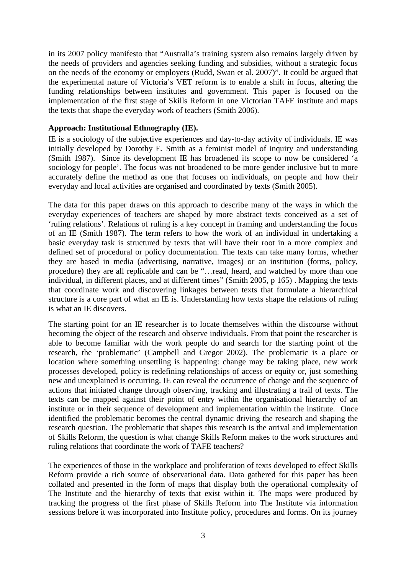in its 2007 policy manifesto that "Australia's training system also remains largely driven by the needs of providers and agencies seeking funding and subsidies, without a strategic focus on the needs of the economy or employers (Rudd, Swan et al. 2007)". It could be argued that the experimental nature of Victoria's VET reform is to enable a shift in focus, altering the funding relationships between institutes and government. This paper is focused on the implementation of the first stage of Skills Reform in one Victorian TAFE institute and maps the texts that shape the everyday work of teachers (Smith 2006).

## **Approach: Institutional Ethnography (IE).**

IE is a sociology of the subjective experiences and day-to-day activity of individuals. IE was initially developed by Dorothy E. Smith as a feminist model of inquiry and understanding (Smith 1987). Since its development IE has broadened its scope to now be considered 'a sociology for people'. The focus was not broadened to be more gender inclusive but to more accurately define the method as one that focuses on individuals, on people and how their everyday and local activities are organised and coordinated by texts (Smith 2005).

The data for this paper draws on this approach to describe many of the ways in which the everyday experiences of teachers are shaped by more abstract texts conceived as a set of 'ruling relations'. Relations of ruling is a key concept in framing and understanding the focus of an IE (Smith 1987). The term refers to how the work of an individual in undertaking a basic everyday task is structured by texts that will have their root in a more complex and defined set of procedural or policy documentation. The texts can take many forms, whether they are based in media (advertising, narrative, images) or an institution (forms, policy, procedure) they are all replicable and can be "…read, heard, and watched by more than one individual, in different places, and at different times" (Smith 2005, p 165) . Mapping the texts that coordinate work and discovering linkages between texts that formulate a hierarchical structure is a core part of what an IE is. Understanding how texts shape the relations of ruling is what an IE discovers.

The starting point for an IE researcher is to locate themselves within the discourse without becoming the object of the research and observe individuals. From that point the researcher is able to become familiar with the work people do and search for the starting point of the research, the 'problematic' (Campbell and Gregor 2002). The problematic is a place or location where something unsettling is happening: change may be taking place, new work processes developed, policy is redefining relationships of access or equity or, just something new and unexplained is occurring. IE can reveal the occurrence of change and the sequence of actions that initiated change through observing, tracking and illustrating a trail of texts. The texts can be mapped against their point of entry within the organisational hierarchy of an institute or in their sequence of development and implementation within the institute. Once identified the problematic becomes the central dynamic driving the research and shaping the research question. The problematic that shapes this research is the arrival and implementation of Skills Reform, the question is what change Skills Reform makes to the work structures and ruling relations that coordinate the work of TAFE teachers?

The experiences of those in the workplace and proliferation of texts developed to effect Skills Reform provide a rich source of observational data. Data gathered for this paper has been collated and presented in the form of maps that display both the operational complexity of The Institute and the hierarchy of texts that exist within it. The maps were produced by tracking the progress of the first phase of Skills Reform into The Institute via information sessions before it was incorporated into Institute policy, procedures and forms. On its journey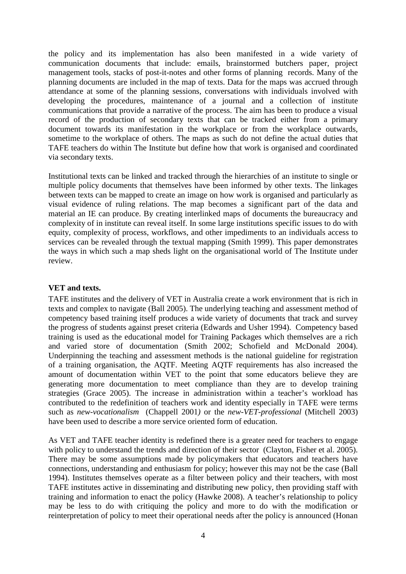the policy and its implementation has also been manifested in a wide variety of communication documents that include: emails, brainstormed butchers paper, project management tools, stacks of post-it-notes and other forms of planning records. Many of the planning documents are included in the map of texts. Data for the maps was accrued through attendance at some of the planning sessions, conversations with individuals involved with developing the procedures, maintenance of a journal and a collection of institute communications that provide a narrative of the process. The aim has been to produce a visual record of the production of secondary texts that can be tracked either from a primary document towards its manifestation in the workplace or from the workplace outwards, sometime to the workplace of others. The maps as such do not define the actual duties that TAFE teachers do within The Institute but define how that work is organised and coordinated via secondary texts.

Institutional texts can be linked and tracked through the hierarchies of an institute to single or multiple policy documents that themselves have been informed by other texts. The linkages between texts can be mapped to create an image on how work is organised and particularly as visual evidence of ruling relations. The map becomes a significant part of the data and material an IE can produce. By creating interlinked maps of documents the bureaucracy and complexity of in institute can reveal itself. In some large institutions specific issues to do with equity, complexity of process, workflows, and other impediments to an individuals access to services can be revealed through the textual mapping (Smith 1999). This paper demonstrates the ways in which such a map sheds light on the organisational world of The Institute under review.

## **VET and texts.**

TAFE institutes and the delivery of VET in Australia create a work environment that is rich in texts and complex to navigate (Ball 2005). The underlying teaching and assessment method of competency based training itself produces a wide variety of documents that track and survey the progress of students against preset criteria (Edwards and Usher 1994). Competency based training is used as the educational model for Training Packages which themselves are a rich and varied store of documentation (Smith 2002; Schofield and McDonald 2004). Underpinning the teaching and assessment methods is the national guideline for registration of a training organisation, the AQTF. Meeting AQTF requirements has also increased the amount of documentation within VET to the point that some educators believe they are generating more documentation to meet compliance than they are to develop training strategies (Grace 2005). The increase in administration within a teacher's workload has contributed to the redefinition of teachers work and identity especially in TAFE were terms such as *new-vocationalism* (Chappell 2001*)* or the *new-VET-professional* (Mitchell 2003) have been used to describe a more service oriented form of education.

As VET and TAFE teacher identity is redefined there is a greater need for teachers to engage with policy to understand the trends and direction of their sector (Clayton, Fisher et al. 2005). There may be some assumptions made by policymakers that educators and teachers have connections, understanding and enthusiasm for policy; however this may not be the case (Ball 1994). Institutes themselves operate as a filter between policy and their teachers, with most TAFE institutes active in disseminating and distributing new policy, then providing staff with training and information to enact the policy (Hawke 2008). A teacher's relationship to policy may be less to do with critiquing the policy and more to do with the modification or reinterpretation of policy to meet their operational needs after the policy is announced (Honan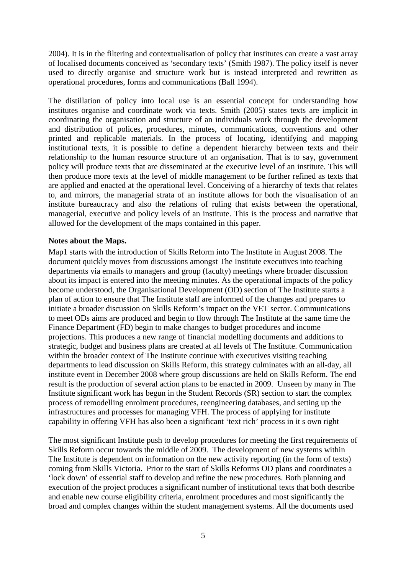2004). It is in the filtering and contextualisation of policy that institutes can create a vast array of localised documents conceived as 'secondary texts' (Smith 1987). The policy itself is never used to directly organise and structure work but is instead interpreted and rewritten as operational procedures, forms and communications (Ball 1994).

The distillation of policy into local use is an essential concept for understanding how institutes organise and coordinate work via texts. Smith (2005) states texts are implicit in coordinating the organisation and structure of an individuals work through the development and distribution of polices, procedures, minutes, communications, conventions and other printed and replicable materials. In the process of locating, identifying and mapping institutional texts, it is possible to define a dependent hierarchy between texts and their relationship to the human resource structure of an organisation. That is to say, government policy will produce texts that are disseminated at the executive level of an institute. This will then produce more texts at the level of middle management to be further refined as texts that are applied and enacted at the operational level. Conceiving of a hierarchy of texts that relates to, and mirrors, the managerial strata of an institute allows for both the visualisation of an institute bureaucracy and also the relations of ruling that exists between the operational, managerial, executive and policy levels of an institute. This is the process and narrative that allowed for the development of the maps contained in this paper.

### **Notes about the Maps.**

Map1 starts with the introduction of Skills Reform into The Institute in August 2008. The document quickly moves from discussions amongst The Institute executives into teaching departments via emails to managers and group (faculty) meetings where broader discussion about its impact is entered into the meeting minutes. As the operational impacts of the policy become understood, the Organisational Development (OD) section of The Institute starts a plan of action to ensure that The Institute staff are informed of the changes and prepares to initiate a broader discussion on Skills Reform's impact on the VET sector. Communications to meet ODs aims are produced and begin to flow through The Institute at the same time the Finance Department (FD) begin to make changes to budget procedures and income projections. This produces a new range of financial modelling documents and additions to strategic, budget and business plans are created at all levels of The Institute. Communication within the broader context of The Institute continue with executives visiting teaching departments to lead discussion on Skills Reform, this strategy culminates with an all-day, all institute event in December 2008 where group discussions are held on Skills Reform. The end result is the production of several action plans to be enacted in 2009. Unseen by many in The Institute significant work has begun in the Student Records (SR) section to start the complex process of remodelling enrolment procedures, reengineering databases, and setting up the infrastructures and processes for managing VFH. The process of applying for institute capability in offering VFH has also been a significant 'text rich' process in it s own right

The most significant Institute push to develop procedures for meeting the first requirements of Skills Reform occur towards the middle of 2009. The development of new systems within The Institute is dependent on information on the new activity reporting (in the form of texts) coming from Skills Victoria. Prior to the start of Skills Reforms OD plans and coordinates a 'lock down' of essential staff to develop and refine the new procedures. Both planning and execution of the project produces a significant number of institutional texts that both describe and enable new course eligibility criteria, enrolment procedures and most significantly the broad and complex changes within the student management systems. All the documents used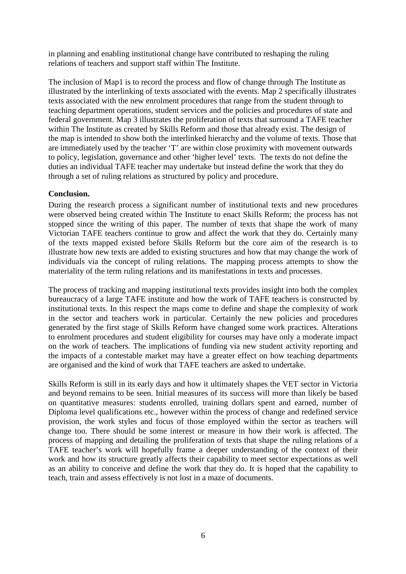in planning and enabling institutional change have contributed to reshaping the ruling relations of teachers and support staff within The Institute.

The inclusion of Map1 is to record the process and flow of change through The Institute as illustrated by the interlinking of texts associated with the events. Map 2 specifically illustrates texts associated with the new enrolment procedures that range from the student through to teaching department operations, student services and the policies and procedures of state and federal government. Map 3 illustrates the proliferation of texts that surround a TAFE teacher within The Institute as created by Skills Reform and those that already exist. The design of the map is intended to show both the interlinked hierarchy and the volume of texts. Those that are immediately used by the teacher 'T' are within close proximity with movement outwards to policy, legislation, governance and other 'higher level' texts. The texts do not define the duties an individual TAFE teacher may undertake but instead define the work that they do through a set of ruling relations as structured by policy and procedure.

## **Conclusion.**

During the research process a significant number of institutional texts and new procedures were observed being created within The Institute to enact Skills Reform; the process has not stopped since the writing of this paper. The number of texts that shape the work of many Victorian TAFE teachers continue to grow and affect the work that they do. Certainly many of the texts mapped existed before Skills Reform but the core aim of the research is to illustrate how new texts are added to existing structures and how that may change the work of individuals via the concept of ruling relations. The mapping process attempts to show the materiality of the term ruling relations and its manifestations in texts and processes.

The process of tracking and mapping institutional texts provides insight into both the complex bureaucracy of a large TAFE institute and how the work of TAFE teachers is constructed by institutional texts. In this respect the maps come to define and shape the complexity of work in the sector and teachers work in particular. Certainly the new policies and procedures generated by the first stage of Skills Reform have changed some work practices. Alterations to enrolment procedures and student eligibility for courses may have only a moderate impact on the work of teachers. The implications of funding via new student activity reporting and the impacts of a contestable market may have a greater effect on how teaching departments are organised and the kind of work that TAFE teachers are asked to undertake.

Skills Reform is still in its early days and how it ultimately shapes the VET sector in Victoria and beyond remains to be seen. Initial measures of its success will more than likely be based on quantitative measures: students enrolled, training dollars spent and earned, number of Diploma level qualifications etc., however within the process of change and redefined service provision, the work styles and focus of those employed within the sector as teachers will change too. There should be some interest or measure in how their work is affected. The process of mapping and detailing the proliferation of texts that shape the ruling relations of a TAFE teacher's work will hopefully frame a deeper understanding of the context of their work and how its structure greatly affects their capability to meet sector expectations as well as an ability to conceive and define the work that they do. It is hoped that the capability to teach, train and assess effectively is not lost in a maze of documents.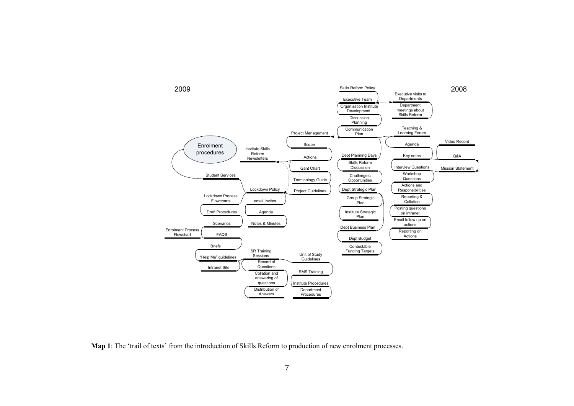

Map 1: The 'trail of texts' from the introduction of Skills Reform to production of new enrolment processes.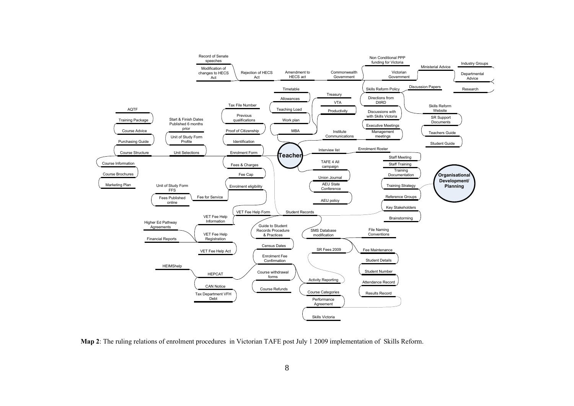

Map 2: The ruling relations of enrolment procedures in Victorian TAFE post July 1 2009 implementation of Skills Reform.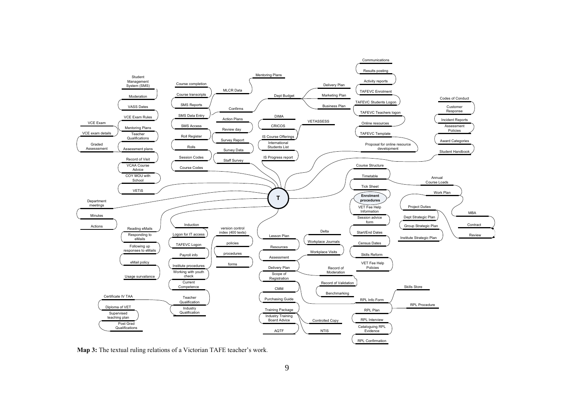

Map 3: The textual ruling relations of a Victorian TAFE teacher's work.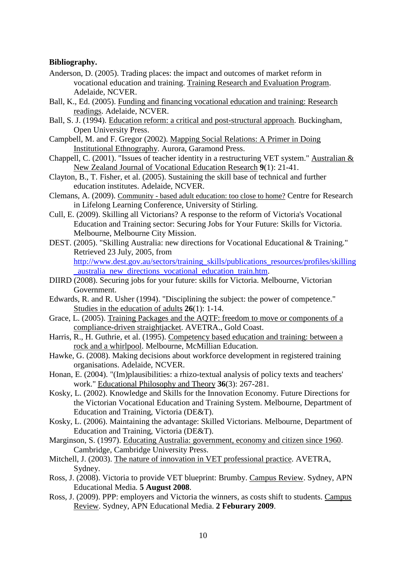### **Bibliography.**

- Anderson, D. (2005). Trading places: the impact and outcomes of market reform in vocational education and training. Training Research and Evaluation Program. Adelaide, NCVER.
- Ball, K., Ed. (2005). Funding and financing vocational education and training: Research readings. Adelaide, NCVER.
- Ball, S. J. (1994). Education reform: a critical and post-structural approach. Buckingham, Open University Press.
- Campbell, M. and F. Gregor (2002). Mapping Social Relations: A Primer in Doing Institutional Ethnography. Aurora, Garamond Press.
- Chappell, C. (2001). "Issues of teacher identity in a restructuring VET system." Australian & New Zealand Journal of Vocational Education Research **9**(1): 21-41.
- Clayton, B., T. Fisher, et al. (2005). Sustaining the skill base of technical and further education institutes. Adelaide, NCVER.
- Clemans, A. (2009). Community based adult education: too close to home? Centre for Research in Lifelong Learning Conference, University of Stirling.
- Cull, E. (2009). Skilling all Victorians? A response to the reform of Victoria's Vocational Education and Training sector: Securing Jobs for Your Future: Skills for Victoria. Melbourne, Melbourne City Mission.
- DEST. (2005). "Skilling Australia: new directions for Vocational Educational & Training." Retrieved 23 July, 2005, from http://www.dest.gov.au/sectors/training\_skills/publications\_resources/profiles/skilling \_australia\_new\_directions\_vocational\_education\_train.htm.
- DIIRD (2008). Securing jobs for your future: skills for Victoria. Melbourne, Victorian Government.
- Edwards, R. and R. Usher (1994). "Disciplining the subject: the power of competence." Studies in the education of adults **26**(1): 1-14.
- Grace, L. (2005). Training Packages and the AQTF: freedom to move or components of a compliance-driven straightjacket. AVETRA., Gold Coast.
- Harris, R., H. Guthrie, et al. (1995). Competency based education and training: between a rock and a whirlpool. Melbourne, McMillian Education.
- Hawke, G. (2008). Making decisions about workforce development in registered training organisations. Adelaide, NCVER.
- Honan, E. (2004). "(Im)plausibilities: a rhizo-textual analysis of policy texts and teachers' work." Educational Philosophy and Theory **36**(3): 267-281.
- Kosky, L. (2002). Knowledge and Skills for the Innovation Economy. Future Directions for the Victorian Vocational Education and Training System. Melbourne, Department of Education and Training, Victoria (DE&T).
- Kosky, L. (2006). Maintaining the advantage: Skilled Victorians. Melbourne, Department of Education and Training, Victoria (DE&T).
- Marginson, S. (1997). Educating Australia: government, economy and citizen since 1960. Cambridge, Cambridge University Press.
- Mitchell, J. (2003). The nature of innovation in VET professional practice. AVETRA, Sydney.
- Ross, J. (2008). Victoria to provide VET blueprint: Brumby. Campus Review. Sydney, APN Educational Media. **5 August 2008**.
- Ross, J. (2009). PPP: employers and Victoria the winners, as costs shift to students. Campus Review. Sydney, APN Educational Media. **2 Feburary 2009**.